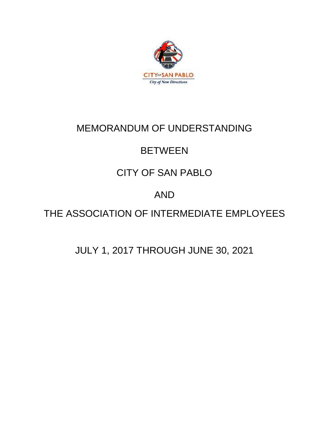

# MEMORANDUM OF UNDERSTANDING

# **BETWEEN**

# CITY OF SAN PABLO

# AND

# THE ASSOCIATION OF INTERMEDIATE EMPLOYEES

# JULY 1, 2017 THROUGH JUNE 30, 2021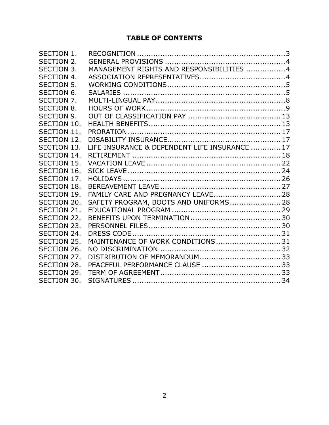# **TABLE OF CONTENTS**

| SECTION 1.         |                                               |  |
|--------------------|-----------------------------------------------|--|
| SECTION 2.         |                                               |  |
| <b>SECTION 3.</b>  | MANAGEMENT RIGHTS AND RESPONSIBILITIES 4      |  |
| <b>SECTION 4.</b>  |                                               |  |
| <b>SECTION 5.</b>  |                                               |  |
| SECTION 6.         |                                               |  |
| SECTION 7.         |                                               |  |
| <b>SECTION 8.</b>  |                                               |  |
| <b>SECTION 9.</b>  |                                               |  |
| SECTION 10.        |                                               |  |
| <b>SECTION 11.</b> |                                               |  |
| SECTION 12.        |                                               |  |
| <b>SECTION 13.</b> | LIFE INSURANCE & DEPENDENT LIFE INSURANCE  17 |  |
| SECTION 14.        |                                               |  |
| <b>SECTION 15.</b> |                                               |  |
| SECTION 16.        |                                               |  |
| SECTION 17.        |                                               |  |
| <b>SECTION 18.</b> |                                               |  |
| <b>SECTION 19.</b> | FAMILY CARE AND PREGNANCY LEAVE 28            |  |
| SECTION 20.        | SAFETY PROGRAM, BOOTS AND UNIFORMS 28         |  |
| SECTION 21.        |                                               |  |
| SECTION 22.        |                                               |  |
| SECTION 23.        |                                               |  |
| SECTION 24.        |                                               |  |
| SECTION 25.        | MAINTENANCE OF WORK CONDITIONS 31             |  |
| SECTION 26.        |                                               |  |
| SECTION 27.        |                                               |  |
| SECTION 28.        | PEACEFUL PERFORMANCE CLAUSE  33               |  |
| SECTION 29.        |                                               |  |
| SECTION 30.        |                                               |  |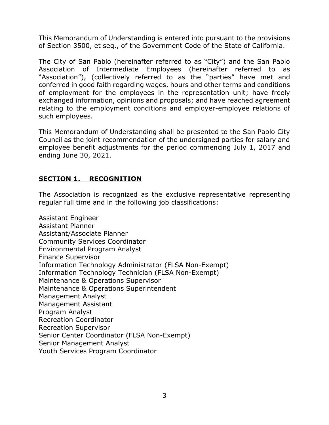This Memorandum of Understanding is entered into pursuant to the provisions of Section 3500, et seq., of the Government Code of the State of California.

The City of San Pablo (hereinafter referred to as "City") and the San Pablo Association of Intermediate Employees (hereinafter referred to as "Association"), (collectively referred to as the "parties" have met and conferred in good faith regarding wages, hours and other terms and conditions of employment for the employees in the representation unit; have freely exchanged information, opinions and proposals; and have reached agreement relating to the employment conditions and employer-employee relations of such employees.

This Memorandum of Understanding shall be presented to the San Pablo City Council as the joint recommendation of the undersigned parties for salary and employee benefit adjustments for the period commencing July 1, 2017 and ending June 30, 2021.

# <span id="page-2-0"></span>**SECTION 1. RECOGNITION**

The Association is recognized as the exclusive representative representing regular full time and in the following job classifications:

Assistant Engineer Assistant Planner Assistant/Associate Planner Community Services Coordinator Environmental Program Analyst Finance Supervisor Information Technology Administrator (FLSA Non-Exempt) Information Technology Technician (FLSA Non-Exempt) Maintenance & Operations Supervisor Maintenance & Operations Superintendent Management Analyst Management Assistant Program Analyst Recreation Coordinator Recreation Supervisor Senior Center Coordinator (FLSA Non-Exempt) Senior Management Analyst Youth Services Program Coordinator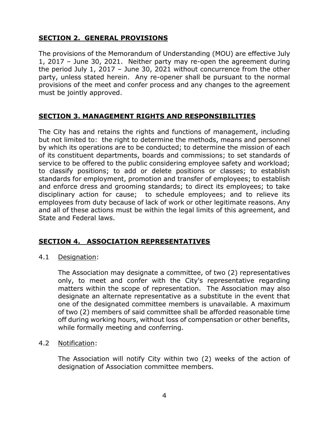# <span id="page-3-0"></span>**SECTION 2. GENERAL PROVISIONS**

The provisions of the Memorandum of Understanding (MOU) are effective July 1, 2017 – June 30, 2021. Neither party may re-open the agreement during the period July 1, 2017 – June 30, 2021 without concurrence from the other party, unless stated herein. Any re-opener shall be pursuant to the normal provisions of the meet and confer process and any changes to the agreement must be jointly approved.

# <span id="page-3-1"></span>**SECTION 3. MANAGEMENT RIGHTS AND RESPONSIBILITIES**

The City has and retains the rights and functions of management, including but not limited to: the right to determine the methods, means and personnel by which its operations are to be conducted; to determine the mission of each of its constituent departments, boards and commissions; to set standards of service to be offered to the public considering employee safety and workload; to classify positions; to add or delete positions or classes; to establish standards for employment, promotion and transfer of employees; to establish and enforce dress and grooming standards; to direct its employees; to take disciplinary action for cause; to schedule employees; and to relieve its employees from duty because of lack of work or other legitimate reasons. Any and all of these actions must be within the legal limits of this agreement, and State and Federal laws.

# <span id="page-3-2"></span>**SECTION 4. ASSOCIATION REPRESENTATIVES**

4.1 Designation:

The Association may designate a committee, of two (2) representatives only, to meet and confer with the City's representative regarding matters within the scope of representation. The Association may also designate an alternate representative as a substitute in the event that one of the designated committee members is unavailable. A maximum of two (2) members of said committee shall be afforded reasonable time off during working hours, without loss of compensation or other benefits, while formally meeting and conferring.

## 4.2 Notification:

The Association will notify City within two (2) weeks of the action of designation of Association committee members.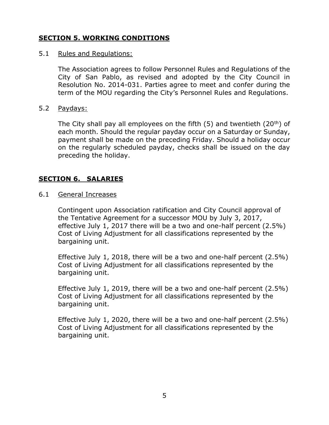# <span id="page-4-0"></span>**SECTION 5. WORKING CONDITIONS**

#### 5.1 Rules and Regulations:

The Association agrees to follow Personnel Rules and Regulations of the City of San Pablo, as revised and adopted by the City Council in Resolution No. 2014-031. Parties agree to meet and confer during the term of the MOU regarding the City's Personnel Rules and Regulations.

#### 5.2 Paydays:

The City shall pay all employees on the fifth  $(5)$  and twentieth  $(20<sup>th</sup>)$  of each month. Should the regular payday occur on a Saturday or Sunday, payment shall be made on the preceding Friday. Should a holiday occur on the regularly scheduled payday, checks shall be issued on the day preceding the holiday.

## <span id="page-4-1"></span>**SECTION 6. SALARIES**

6.1 General Increases

Contingent upon Association ratification and City Council approval of the Tentative Agreement for a successor MOU by July 3, 2017, effective July 1, 2017 there will be a two and one-half percent (2.5%) Cost of Living Adjustment for all classifications represented by the bargaining unit.

Effective July 1, 2018, there will be a two and one-half percent (2.5%) Cost of Living Adjustment for all classifications represented by the bargaining unit.

Effective July 1, 2019, there will be a two and one-half percent (2.5%) Cost of Living Adjustment for all classifications represented by the bargaining unit.

Effective July 1, 2020, there will be a two and one-half percent (2.5%) Cost of Living Adjustment for all classifications represented by the bargaining unit.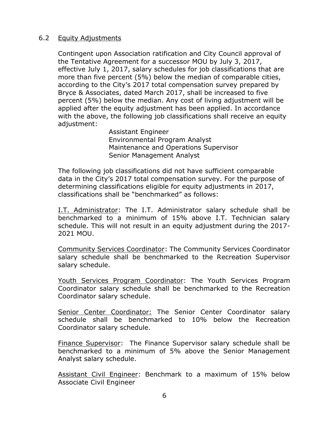## 6.2 Equity Adjustments

Contingent upon Association ratification and City Council approval of the Tentative Agreement for a successor MOU by July 3, 2017, effective July 1, 2017, salary schedules for job classifications that are more than five percent (5%) below the median of comparable cities, according to the City's 2017 total compensation survey prepared by Bryce & Associates, dated March 2017, shall be increased to five percent (5%) below the median. Any cost of living adjustment will be applied after the equity adjustment has been applied. In accordance with the above, the following job classifications shall receive an equity adjustment:

> Assistant Engineer Environmental Program Analyst Maintenance and Operations Supervisor Senior Management Analyst

The following job classifications did not have sufficient comparable data in the City's 2017 total compensation survey. For the purpose of determining classifications eligible for equity adjustments in 2017, classifications shall be "benchmarked" as follows:

I.T. Administrator: The I.T. Administrator salary schedule shall be benchmarked to a minimum of 15% above I.T. Technician salary schedule. This will not result in an equity adjustment during the 2017- 2021 MOU.

Community Services Coordinator: The Community Services Coordinator salary schedule shall be benchmarked to the Recreation Supervisor salary schedule.

Youth Services Program Coordinator: The Youth Services Program Coordinator salary schedule shall be benchmarked to the Recreation Coordinator salary schedule.

Senior Center Coordinator: The Senior Center Coordinator salary schedule shall be benchmarked to 10% below the Recreation Coordinator salary schedule.

Finance Supervisor: The Finance Supervisor salary schedule shall be benchmarked to a minimum of 5% above the Senior Management Analyst salary schedule.

Assistant Civil Engineer: Benchmark to a maximum of 15% below Associate Civil Engineer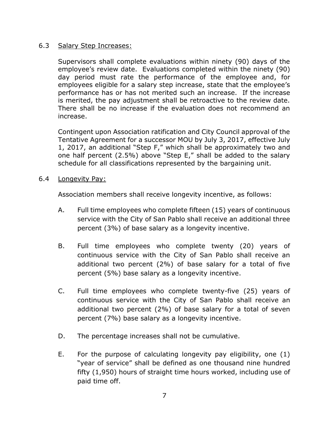## 6.3 Salary Step Increases:

Supervisors shall complete evaluations within ninety (90) days of the employee's review date. Evaluations completed within the ninety (90) day period must rate the performance of the employee and, for employees eligible for a salary step increase, state that the employee's performance has or has not merited such an increase. If the increase is merited, the pay adjustment shall be retroactive to the review date. There shall be no increase if the evaluation does not recommend an increase.

Contingent upon Association ratification and City Council approval of the Tentative Agreement for a successor MOU by July 3, 2017, effective July 1, 2017, an additional "Step F," which shall be approximately two and one half percent (2.5%) above "Step E," shall be added to the salary schedule for all classifications represented by the bargaining unit.

6.4 Longevity Pay:

Association members shall receive longevity incentive, as follows:

- A. Full time employees who complete fifteen (15) years of continuous service with the City of San Pablo shall receive an additional three percent (3%) of base salary as a longevity incentive.
- B. Full time employees who complete twenty (20) years of continuous service with the City of San Pablo shall receive an additional two percent (2%) of base salary for a total of five percent (5%) base salary as a longevity incentive.
- C. Full time employees who complete twenty-five (25) years of continuous service with the City of San Pablo shall receive an additional two percent (2%) of base salary for a total of seven percent (7%) base salary as a longevity incentive.
- D. The percentage increases shall not be cumulative.
- E. For the purpose of calculating longevity pay eligibility, one (1) "year of service" shall be defined as one thousand nine hundred fifty (1,950) hours of straight time hours worked, including use of paid time off.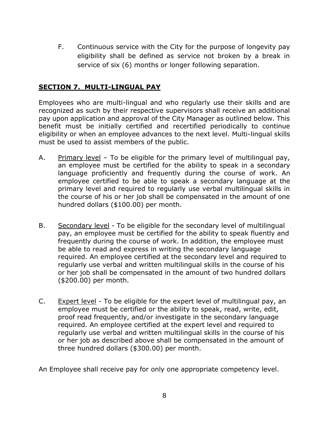F. Continuous service with the City for the purpose of longevity pay eligibility shall be defined as service not broken by a break in service of six (6) months or longer following separation.

# <span id="page-7-0"></span>**SECTION 7. MULTI-LINGUAL PAY**

Employees who are multi-lingual and who regularly use their skills and are recognized as such by their respective supervisors shall receive an additional pay upon application and approval of the City Manager as outlined below. This benefit must be initially certified and recertified periodically to continue eligibility or when an employee advances to the next level. Multi-lingual skills must be used to assist members of the public.

- A. Primary level To be eligible for the primary level of multilingual pay, an employee must be certified for the ability to speak in a secondary language proficiently and frequently during the course of work. An employee certified to be able to speak a secondary language at the primary level and required to regularly use verbal multilingual skills in the course of his or her job shall be compensated in the amount of one hundred dollars (\$100.00) per month.
- B. Secondary level To be eligible for the secondary level of multilingual pay, an employee must be certified for the ability to speak fluently and frequently during the course of work. In addition, the employee must be able to read and express in writing the secondary language required. An employee certified at the secondary level and required to regularly use verbal and written multilingual skills in the course of his or her job shall be compensated in the amount of two hundred dollars (\$200.00) per month.
- C. Expert level To be eligible for the expert level of multilingual pay, an employee must be certified or the ability to speak, read, write, edit, proof read frequently, and/or investigate in the secondary language required. An employee certified at the expert level and required to regularly use verbal and written multilingual skills in the course of his or her job as described above shall be compensated in the amount of three hundred dollars (\$300.00) per month.

An Employee shall receive pay for only one appropriate competency level.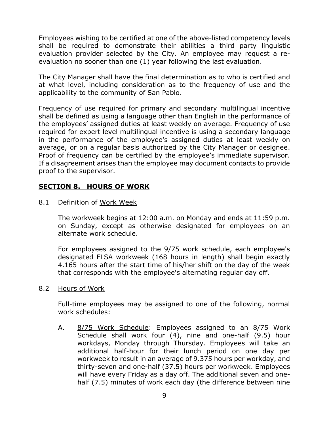Employees wishing to be certified at one of the above-listed competency levels shall be required to demonstrate their abilities a third party linguistic evaluation provider selected by the City. An employee may request a reevaluation no sooner than one (1) year following the last evaluation.

The City Manager shall have the final determination as to who is certified and at what level, including consideration as to the frequency of use and the applicability to the community of San Pablo.

Frequency of use required for primary and secondary multilingual incentive shall be defined as using a language other than English in the performance of the employees' assigned duties at least weekly on average. Frequency of use required for expert level multilingual incentive is using a secondary language in the performance of the employee's assigned duties at least weekly on average, or on a regular basis authorized by the City Manager or designee. Proof of frequency can be certified by the employee's immediate supervisor. If a disagreement arises than the employee may document contacts to provide proof to the supervisor.

# <span id="page-8-0"></span>**SECTION 8. HOURS OF WORK**

8.1 Definition of Work Week

The workweek begins at 12:00 a.m. on Monday and ends at 11:59 p.m. on Sunday, except as otherwise designated for employees on an alternate work schedule.

For employees assigned to the 9/75 work schedule, each employee's designated FLSA workweek (168 hours in length) shall begin exactly 4.165 hours after the start time of his/her shift on the day of the week that corresponds with the employee's alternating regular day off.

8.2 Hours of Work

Full-time employees may be assigned to one of the following, normal work schedules:

A. 8/75 Work Schedule: Employees assigned to an 8/75 Work Schedule shall work four (4), nine and one-half (9.5) hour workdays, Monday through Thursday. Employees will take an additional half-hour for their lunch period on one day per workweek to result in an average of 9.375 hours per workday, and thirty-seven and one-half (37.5) hours per workweek. Employees will have every Friday as a day off. The additional seven and onehalf (7.5) minutes of work each day (the difference between nine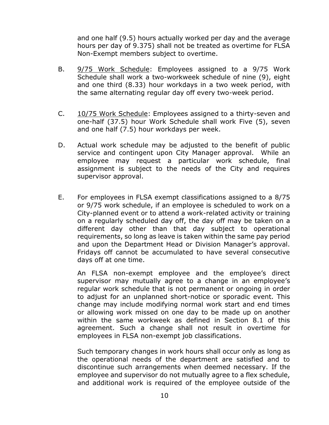and one half (9.5) hours actually worked per day and the average hours per day of 9.375) shall not be treated as overtime for FLSA Non-Exempt members subject to overtime.

- B. 9/75 Work Schedule: Employees assigned to a 9/75 Work Schedule shall work a two-workweek schedule of nine (9), eight and one third (8.33) hour workdays in a two week period, with the same alternating regular day off every two-week period.
- C. 10/75 Work Schedule: Employees assigned to a thirty-seven and one-half (37.5) hour Work Schedule shall work Five (5), seven and one half (7.5) hour workdays per week.
- D. Actual work schedule may be adjusted to the benefit of public service and contingent upon City Manager approval. While an employee may request a particular work schedule, final assignment is subject to the needs of the City and requires supervisor approval.
- E. For employees in FLSA exempt classifications assigned to a 8/75 or 9/75 work schedule, if an employee is scheduled to work on a City-planned event or to attend a work-related activity or training on a regularly scheduled day off, the day off may be taken on a different day other than that day subject to operational requirements, so long as leave is taken within the same pay period and upon the Department Head or Division Manager's approval. Fridays off cannot be accumulated to have several consecutive days off at one time.

An FLSA non-exempt employee and the employee's direct supervisor may mutually agree to a change in an employee's regular work schedule that is not permanent or ongoing in order to adjust for an unplanned short-notice or sporadic event. This change may include modifying normal work start and end times or allowing work missed on one day to be made up on another within the same workweek as defined in Section 8.1 of this agreement. Such a change shall not result in overtime for employees in FLSA non-exempt job classifications.

Such temporary changes in work hours shall occur only as long as the operational needs of the department are satisfied and to discontinue such arrangements when deemed necessary. If the employee and supervisor do not mutually agree to a flex schedule, and additional work is required of the employee outside of the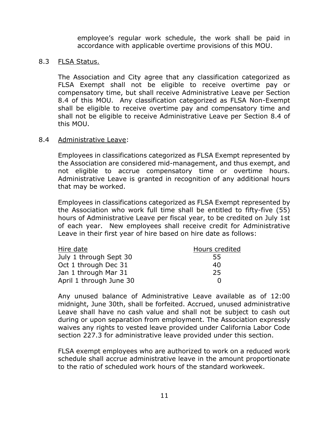employee's regular work schedule, the work shall be paid in accordance with applicable overtime provisions of this MOU.

#### 8.3 FLSA Status.

The Association and City agree that any classification categorized as FLSA Exempt shall not be eligible to receive overtime pay or compensatory time, but shall receive Administrative Leave per Section 8.4 of this MOU. Any classification categorized as FLSA Non-Exempt shall be eligible to receive overtime pay and compensatory time and shall not be eligible to receive Administrative Leave per Section 8.4 of this MOU.

#### 8.4 Administrative Leave:

Employees in classifications categorized as FLSA Exempt represented by the Association are considered mid-management, and thus exempt, and not eligible to accrue compensatory time or overtime hours. Administrative Leave is granted in recognition of any additional hours that may be worked.

Employees in classifications categorized as FLSA Exempt represented by the Association who work full time shall be entitled to fifty-five (55) hours of Administrative Leave per fiscal year, to be credited on July 1st of each year. New employees shall receive credit for Administrative Leave in their first year of hire based on hire date as follows:

| Hire date               | Hours credited |
|-------------------------|----------------|
| July 1 through Sept 30  | 55             |
| Oct 1 through Dec 31    | 40             |
| Jan 1 through Mar 31    | 25             |
| April 1 through June 30 | n              |

Any unused balance of Administrative Leave available as of 12:00 midnight, June 30th, shall be forfeited. Accrued, unused administrative Leave shall have no cash value and shall not be subject to cash out during or upon separation from employment. The Association expressly waives any rights to vested leave provided under California Labor Code section 227.3 for administrative leave provided under this section.

FLSA exempt employees who are authorized to work on a reduced work schedule shall accrue administrative leave in the amount proportionate to the ratio of scheduled work hours of the standard workweek.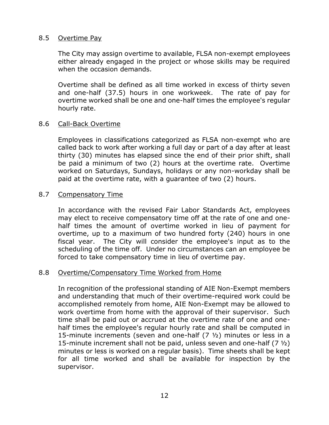#### 8.5 Overtime Pay

The City may assign overtime to available, FLSA non-exempt employees either already engaged in the project or whose skills may be required when the occasion demands.

Overtime shall be defined as all time worked in excess of thirty seven and one-half (37.5) hours in one workweek. The rate of pay for overtime worked shall be one and one-half times the employee's regular hourly rate.

#### 8.6 Call-Back Overtime

Employees in classifications categorized as FLSA non-exempt who are called back to work after working a full day or part of a day after at least thirty (30) minutes has elapsed since the end of their prior shift, shall be paid a minimum of two (2) hours at the overtime rate. Overtime worked on Saturdays, Sundays, holidays or any non-workday shall be paid at the overtime rate, with a guarantee of two (2) hours.

#### 8.7 Compensatory Time

In accordance with the revised Fair Labor Standards Act, employees may elect to receive compensatory time off at the rate of one and onehalf times the amount of overtime worked in lieu of payment for overtime, up to a maximum of two hundred forty (240) hours in one fiscal year. The City will consider the employee's input as to the scheduling of the time off. Under no circumstances can an employee be forced to take compensatory time in lieu of overtime pay.

## 8.8 Overtime/Compensatory Time Worked from Home

In recognition of the professional standing of AIE Non-Exempt members and understanding that much of their overtime-required work could be accomplished remotely from home, AIE Non-Exempt may be allowed to work overtime from home with the approval of their supervisor. Such time shall be paid out or accrued at the overtime rate of one and onehalf times the employee's regular hourly rate and shall be computed in 15-minute increments (seven and one-half  $(7 \frac{1}{2})$  minutes or less in a 15-minute increment shall not be paid, unless seven and one-half (7 ½) minutes or less is worked on a regular basis). Time sheets shall be kept for all time worked and shall be available for inspection by the supervisor.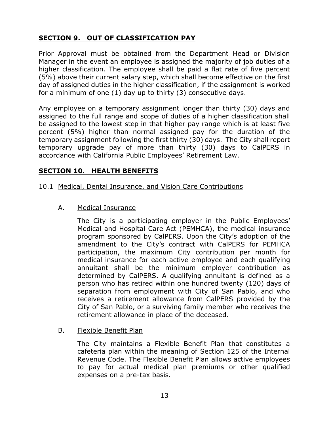# <span id="page-12-0"></span>**SECTION 9. OUT OF CLASSIFICATION PAY**

Prior Approval must be obtained from the Department Head or Division Manager in the event an employee is assigned the majority of job duties of a higher classification. The employee shall be paid a flat rate of five percent (5%) above their current salary step, which shall become effective on the first day of assigned duties in the higher classification, if the assignment is worked for a minimum of one (1) day up to thirty (3) consecutive days.

Any employee on a temporary assignment longer than thirty (30) days and assigned to the full range and scope of duties of a higher classification shall be assigned to the lowest step in that higher pay range which is at least five percent (5%) higher than normal assigned pay for the duration of the temporary assignment following the first thirty (30) days. The City shall report temporary upgrade pay of more than thirty (30) days to CalPERS in accordance with California Public Employees' Retirement Law.

## <span id="page-12-1"></span>**SECTION 10. HEALTH BENEFITS**

- 10.1 Medical, Dental Insurance, and Vision Care Contributions
	- A. Medical Insurance

The City is a participating employer in the Public Employees' Medical and Hospital Care Act (PEMHCA), the medical insurance program sponsored by CalPERS. Upon the City's adoption of the amendment to the City's contract with CalPERS for PEMHCA participation, the maximum City contribution per month for medical insurance for each active employee and each qualifying annuitant shall be the minimum employer contribution as determined by CalPERS. A qualifying annuitant is defined as a person who has retired within one hundred twenty (120) days of separation from employment with City of San Pablo, and who receives a retirement allowance from CalPERS provided by the City of San Pablo, or a surviving family member who receives the retirement allowance in place of the deceased.

#### B. Flexible Benefit Plan

The City maintains a Flexible Benefit Plan that constitutes a cafeteria plan within the meaning of Section 125 of the Internal Revenue Code. The Flexible Benefit Plan allows active employees to pay for actual medical plan premiums or other qualified expenses on a pre-tax basis.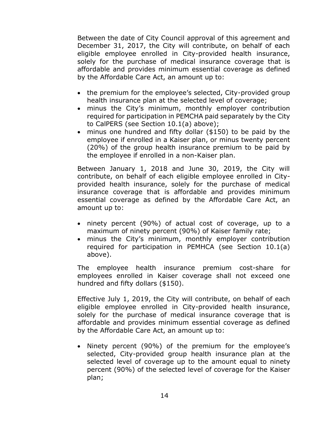Between the date of City Council approval of this agreement and December 31, 2017, the City will contribute, on behalf of each eligible employee enrolled in City-provided health insurance, solely for the purchase of medical insurance coverage that is affordable and provides minimum essential coverage as defined by the Affordable Care Act, an amount up to:

- the premium for the employee's selected, City-provided group health insurance plan at the selected level of coverage;
- minus the City's minimum, monthly employer contribution required for participation in PEMCHA paid separately by the City to CalPERS (see Section 10.1(a) above);
- minus one hundred and fifty dollar (\$150) to be paid by the employee if enrolled in a Kaiser plan, or minus twenty percent (20%) of the group health insurance premium to be paid by the employee if enrolled in a non-Kaiser plan.

Between January 1, 2018 and June 30, 2019, the City will contribute, on behalf of each eligible employee enrolled in Cityprovided health insurance, solely for the purchase of medical insurance coverage that is affordable and provides minimum essential coverage as defined by the Affordable Care Act, an amount up to:

- ninety percent (90%) of actual cost of coverage, up to a maximum of ninety percent (90%) of Kaiser family rate;
- minus the City's minimum, monthly employer contribution required for participation in PEMHCA (see Section 10.1(a) above).

The employee health insurance premium cost-share for employees enrolled in Kaiser coverage shall not exceed one hundred and fifty dollars (\$150).

Effective July 1, 2019, the City will contribute, on behalf of each eligible employee enrolled in City-provided health insurance, solely for the purchase of medical insurance coverage that is affordable and provides minimum essential coverage as defined by the Affordable Care Act, an amount up to:

• Ninety percent (90%) of the premium for the employee's selected, City-provided group health insurance plan at the selected level of coverage up to the amount equal to ninety percent (90%) of the selected level of coverage for the Kaiser plan;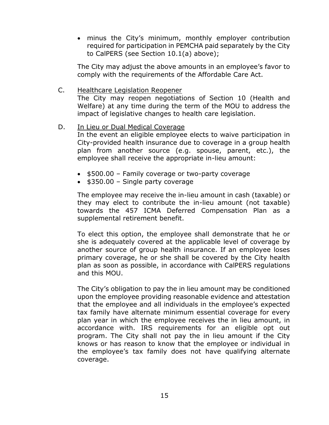minus the City's minimum, monthly employer contribution required for participation in PEMCHA paid separately by the City to CalPERS (see Section 10.1(a) above);

The City may adjust the above amounts in an employee's favor to comply with the requirements of the Affordable Care Act.

C. Healthcare Legislation Reopener The City may reopen negotiations of Section 10 (Health and Welfare) at any time during the term of the MOU to address the impact of legislative changes to health care legislation.

#### D. In Lieu or Dual Medical Coverage

In the event an eligible employee elects to waive participation in City-provided health insurance due to coverage in a group health plan from another source (e.g. spouse, parent, etc.), the employee shall receive the appropriate in-lieu amount:

- \$500.00 Family coverage or two-party coverage
- $\bullet$  \$350.00 Single party coverage

The employee may receive the in-lieu amount in cash (taxable) or they may elect to contribute the in-lieu amount (not taxable) towards the 457 ICMA Deferred Compensation Plan as a supplemental retirement benefit.

To elect this option, the employee shall demonstrate that he or she is adequately covered at the applicable level of coverage by another source of group health insurance. If an employee loses primary coverage, he or she shall be covered by the City health plan as soon as possible, in accordance with CalPERS regulations and this MOU.

The City's obligation to pay the in lieu amount may be conditioned upon the employee providing reasonable evidence and attestation that the employee and all individuals in the employee's expected tax family have alternate minimum essential coverage for every plan year in which the employee receives the in lieu amount, in accordance with. IRS requirements for an eligible opt out program. The City shall not pay the in lieu amount if the City knows or has reason to know that the employee or individual in the employee's tax family does not have qualifying alternate coverage.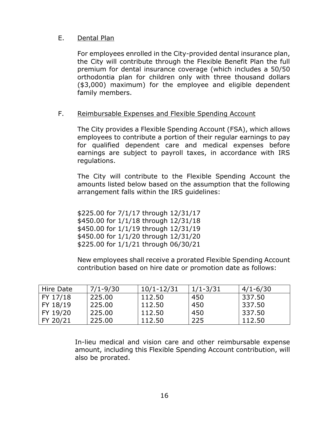## E. Dental Plan

For employees enrolled in the City-provided dental insurance plan, the City will contribute through the Flexible Benefit Plan the full premium for dental insurance coverage (which includes a 50/50 orthodontia plan for children only with three thousand dollars (\$3,000) maximum) for the employee and eligible dependent family members.

## F. Reimbursable Expenses and Flexible Spending Account

The City provides a Flexible Spending Account (FSA), which allows employees to contribute a portion of their regular earnings to pay for qualified dependent care and medical expenses before earnings are subject to payroll taxes, in accordance with IRS regulations.

The City will contribute to the Flexible Spending Account the amounts listed below based on the assumption that the following arrangement falls within the IRS guidelines:

\$225.00 for 7/1/17 through 12/31/17 \$450.00 for 1/1/18 through 12/31/18 \$450.00 for 1/1/19 through 12/31/19 \$450.00 for 1/1/20 through 12/31/20 \$225.00 for 1/1/21 through 06/30/21

New employees shall receive a prorated Flexible Spending Account contribution based on hire date or promotion date as follows:

| Hire Date | $7/1 - 9/30$ | $10/1 - 12/31$ | $1/1 - 3/31$ | $4/1 - 6/30$ |
|-----------|--------------|----------------|--------------|--------------|
| FY 17/18  | 225.00       | 112.50         | 450          | 337.50       |
| FY 18/19  | 225.00       | 112.50         | 450          | 337.50       |
| FY 19/20  | 225.00       | 112.50         | 450          | 337.50       |
| FY 20/21  | 225,00       | 112.50         | 225          | 112.50       |

In-lieu medical and vision care and other reimbursable expense amount, including this Flexible Spending Account contribution, will also be prorated.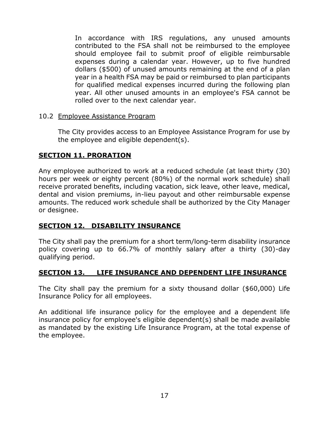In accordance with IRS regulations, any unused amounts contributed to the FSA shall not be reimbursed to the employee should employee fail to submit proof of eligible reimbursable expenses during a calendar year. However, up to five hundred dollars (\$500) of unused amounts remaining at the end of a plan year in a health FSA may be paid or reimbursed to plan participants for qualified medical expenses incurred during the following plan year. All other unused amounts in an employee's FSA cannot be rolled over to the next calendar year.

#### 10.2 Employee Assistance Program

The City provides access to an Employee Assistance Program for use by the employee and eligible dependent(s).

## <span id="page-16-0"></span>**SECTION 11. PRORATION**

Any employee authorized to work at a reduced schedule (at least thirty (30) hours per week or eighty percent (80%) of the normal work schedule) shall receive prorated benefits, including vacation, sick leave, other leave, medical, dental and vision premiums, in-lieu payout and other reimbursable expense amounts. The reduced work schedule shall be authorized by the City Manager or designee.

## <span id="page-16-1"></span>**SECTION 12. DISABILITY INSURANCE**

The City shall pay the premium for a short term/long-term disability insurance policy covering up to 66.7% of monthly salary after a thirty (30)-day qualifying period.

# <span id="page-16-2"></span>**SECTION 13. LIFE INSURANCE AND DEPENDENT LIFE INSURANCE**

The City shall pay the premium for a sixty thousand dollar (\$60,000) Life Insurance Policy for all employees.

An additional life insurance policy for the employee and a dependent life insurance policy for employee's eligible dependent(s) shall be made available as mandated by the existing Life Insurance Program, at the total expense of the employee.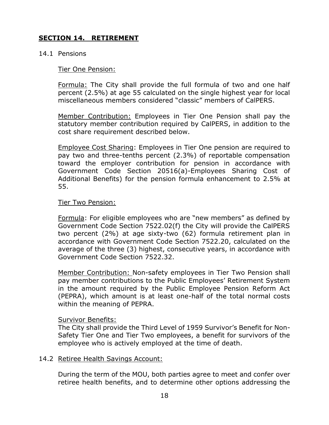# <span id="page-17-0"></span>**SECTION 14. RETIREMENT**

#### 14.1 Pensions

#### Tier One Pension:

Formula: The City shall provide the full formula of two and one half percent (2.5%) at age 55 calculated on the single highest year for local miscellaneous members considered "classic" members of CalPERS.

Member Contribution: Employees in Tier One Pension shall pay the statutory member contribution required by CalPERS, in addition to the cost share requirement described below.

Employee Cost Sharing: Employees in Tier One pension are required to pay two and three-tenths percent (2.3%) of reportable compensation toward the employer contribution for pension in accordance with Government Code Section 20516(a)-Employees Sharing Cost of Additional Benefits) for the pension formula enhancement to 2.5% at 55.

#### Tier Two Pension:

Formula: For eligible employees who are "new members" as defined by Government Code Section 7522.02(f) the City will provide the CalPERS two percent (2%) at age sixty-two (62) formula retirement plan in accordance with Government Code Section 7522.20, calculated on the average of the three (3) highest, consecutive years, in accordance with Government Code Section 7522.32.

Member Contribution: Non-safety employees in Tier Two Pension shall pay member contributions to the Public Employees' Retirement System in the amount required by the Public Employee Pension Reform Act (PEPRA), which amount is at least one-half of the total normal costs within the meaning of PEPRA.

#### Survivor Benefits:

The City shall provide the Third Level of 1959 Survivor's Benefit for Non-Safety Tier One and Tier Two employees, a benefit for survivors of the employee who is actively employed at the time of death.

## 14.2 Retiree Health Savings Account:

During the term of the MOU, both parties agree to meet and confer over retiree health benefits, and to determine other options addressing the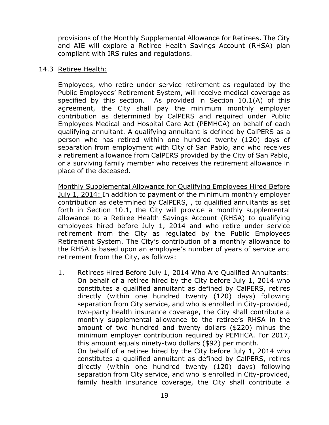provisions of the Monthly Supplemental Allowance for Retirees. The City and AIE will explore a Retiree Health Savings Account (RHSA) plan compliant with IRS rules and regulations.

#### 14.3 Retiree Health:

Employees, who retire under service retirement as regulated by the Public Employees' Retirement System, will receive medical coverage as specified by this section. As provided in Section 10.1(A) of this agreement, the City shall pay the minimum monthly employer contribution as determined by CalPERS and required under Public Employees Medical and Hospital Care Act (PEMHCA) on behalf of each qualifying annuitant. A qualifying annuitant is defined by CalPERS as a person who has retired within one hundred twenty (120) days of separation from employment with City of San Pablo, and who receives a retirement allowance from CalPERS provided by the City of San Pablo, or a surviving family member who receives the retirement allowance in place of the deceased.

Monthly Supplemental Allowance for Qualifying Employees Hired Before July 1, 2014: In addition to payment of the minimum monthly employer contribution as determined by CalPERS, , to qualified annuitants as set forth in Section 10.1, the City will provide a monthly supplemental allowance to a Retiree Health Savings Account (RHSA) to qualifying employees hired before July 1, 2014 and who retire under service retirement from the City as regulated by the Public Employees Retirement System. The City's contribution of a monthly allowance to the RHSA is based upon an employee's number of years of service and retirement from the City, as follows:

1. Retirees Hired Before July 1, 2014 Who Are Qualified Annuitants: On behalf of a retiree hired by the City before July 1, 2014 who constitutes a qualified annuitant as defined by CalPERS, retires directly (within one hundred twenty (120) days) following separation from City service, and who is enrolled in City-provided, two-party health insurance coverage, the City shall contribute a monthly supplemental allowance to the retiree's RHSA in the amount of two hundred and twenty dollars (\$220) minus the minimum employer contribution required by PEMHCA. For 2017, this amount equals ninety-two dollars (\$92) per month. On behalf of a retiree hired by the City before July 1, 2014 who constitutes a qualified annuitant as defined by CalPERS, retires directly (within one hundred twenty (120) days) following

separation from City service, and who is enrolled in City-provided, family health insurance coverage, the City shall contribute a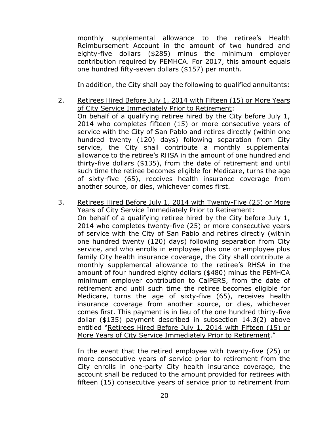monthly supplemental allowance to the retiree's Health Reimbursement Account in the amount of two hundred and eighty-five dollars (\$285) minus the minimum employer contribution required by PEMHCA. For 2017, this amount equals one hundred fifty-seven dollars (\$157) per month.

In addition, the City shall pay the following to qualified annuitants:

- 2. Retirees Hired Before July 1, 2014 with Fifteen (15) or More Years of City Service Immediately Prior to Retirement: On behalf of a qualifying retiree hired by the City before July 1, 2014 who completes fifteen (15) or more consecutive years of service with the City of San Pablo and retires directly (within one hundred twenty (120) days) following separation from City service, the City shall contribute a monthly supplemental allowance to the retiree's RHSA in the amount of one hundred and thirty-five dollars (\$135), from the date of retirement and until such time the retiree becomes eligible for Medicare, turns the age of sixty-five (65), receives health insurance coverage from another source, or dies, whichever comes first.
- 3. Retirees Hired Before July 1, 2014 with Twenty-Five (25) or More Years of City Service Immediately Prior to Retirement:

On behalf of a qualifying retiree hired by the City before July 1, 2014 who completes twenty-five (25) or more consecutive years of service with the City of San Pablo and retires directly (within one hundred twenty (120) days) following separation from City service, and who enrolls in employee plus one or employee plus family City health insurance coverage, the City shall contribute a monthly supplemental allowance to the retiree's RHSA in the amount of four hundred eighty dollars (\$480) minus the PEMHCA minimum employer contribution to CalPERS, from the date of retirement and until such time the retiree becomes eligible for Medicare, turns the age of sixty-five (65), receives health insurance coverage from another source, or dies, whichever comes first. This payment is in lieu of the one hundred thirty-five dollar (\$135) payment described in subsection 14.3(2) above entitled "Retirees Hired Before July 1, 2014 with Fifteen (15) or More Years of City Service Immediately Prior to Retirement."

In the event that the retired employee with twenty-five (25) or more consecutive years of service prior to retirement from the City enrolls in one-party City health insurance coverage, the account shall be reduced to the amount provided for retirees with fifteen (15) consecutive years of service prior to retirement from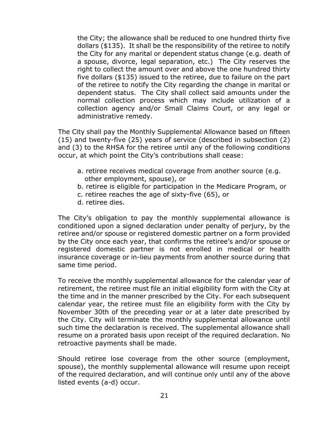the City; the allowance shall be reduced to one hundred thirty five dollars (\$135). It shall be the responsibility of the retiree to notify the City for any marital or dependent status change (e.g. death of a spouse, divorce, legal separation, etc.) The City reserves the right to collect the amount over and above the one hundred thirty five dollars (\$135) issued to the retiree, due to failure on the part of the retiree to notify the City regarding the change in marital or dependent status. The City shall collect said amounts under the normal collection process which may include utilization of a collection agency and/or Small Claims Court, or any legal or administrative remedy.

The City shall pay the Monthly Supplemental Allowance based on fifteen (15) and twenty-five (25) years of service (described in subsection (2) and (3) to the RHSA for the retiree until any of the following conditions occur, at which point the City's contributions shall cease:

- a. retiree receives medical coverage from another source (e.g. other employment, spouse), or
- b. retiree is eligible for participation in the Medicare Program, or
- c. retiree reaches the age of sixty-five (65), or
- d. retiree dies.

The City's obligation to pay the monthly supplemental allowance is conditioned upon a signed declaration under penalty of perjury, by the retiree and/or spouse or registered domestic partner on a form provided by the City once each year, that confirms the retiree's and/or spouse or registered domestic partner is not enrolled in medical or health insurance coverage or in-lieu payments from another source during that same time period.

To receive the monthly supplemental allowance for the calendar year of retirement, the retiree must file an initial eligibility form with the City at the time and in the manner prescribed by the City. For each subsequent calendar year, the retiree must file an eligibility form with the City by November 30th of the preceding year or at a later date prescribed by the City. City will terminate the monthly supplemental allowance until such time the declaration is received. The supplemental allowance shall resume on a prorated basis upon receipt of the required declaration. No retroactive payments shall be made.

Should retiree lose coverage from the other source (employment, spouse), the monthly supplemental allowance will resume upon receipt of the required declaration, and will continue only until any of the above listed events (a-d) occur.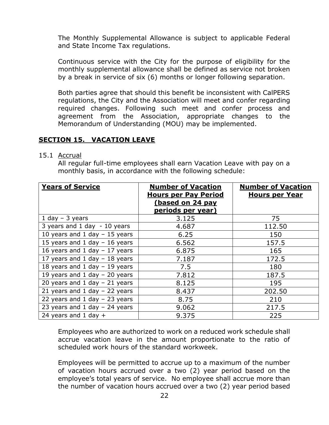The Monthly Supplemental Allowance is subject to applicable Federal and State Income Tax regulations.

Continuous service with the City for the purpose of eligibility for the monthly supplemental allowance shall be defined as service not broken by a break in service of six (6) months or longer following separation.

Both parties agree that should this benefit be inconsistent with CalPERS regulations, the City and the Association will meet and confer regarding required changes. Following such meet and confer process and agreement from the Association, appropriate changes to the Memorandum of Understanding (MOU) may be implemented.

# <span id="page-21-0"></span>**SECTION 15. VACATION LEAVE**

#### 15.1 Accrual

All regular full-time employees shall earn Vacation Leave with pay on a monthly basis, in accordance with the following schedule:

| <b>Years of Service</b>           | <b>Number of Vacation</b><br><b>Hours per Pay Period</b> | <b>Number of Vacation</b><br><b>Hours per Year</b> |
|-----------------------------------|----------------------------------------------------------|----------------------------------------------------|
|                                   | (based on 24 pay<br>periods per year)                    |                                                    |
| $1$ day $-$ 3 years               | 3.125                                                    | 75                                                 |
| 3 years and 1 day - 10 years      | 4.687                                                    | 112.50                                             |
| 10 years and 1 day $-$ 15 years   | 6.25                                                     | 150                                                |
| 15 years and 1 day $-$ 16 years   | 6.562                                                    | 157.5                                              |
| 16 years and 1 day $-17$ years    | 6.875                                                    | 165                                                |
| 17 years and 1 day $-$ 18 years   | 7.187                                                    | 172.5                                              |
| 18 years and 1 day $-$ 19 years   | 7.5                                                      | 180                                                |
| 19 years and 1 day $-$ 20 years   | 7.812                                                    | 187.5                                              |
| 20 years and 1 day $-$ 21 years   | 8.125                                                    | 195                                                |
| 21 years and 1 day $-$ 22 years   | 8.437                                                    | 202.50                                             |
| 22 years and $1$ day $-$ 23 years | 8.75                                                     | 210                                                |
| 23 years and 1 day $-$ 24 years   | 9.062                                                    | 217.5                                              |
| 24 years and 1 day $+$            | 9.375                                                    | 225                                                |

Employees who are authorized to work on a reduced work schedule shall accrue vacation leave in the amount proportionate to the ratio of scheduled work hours of the standard workweek.

Employees will be permitted to accrue up to a maximum of the number of vacation hours accrued over a two (2) year period based on the employee's total years of service. No employee shall accrue more than the number of vacation hours accrued over a two (2) year period based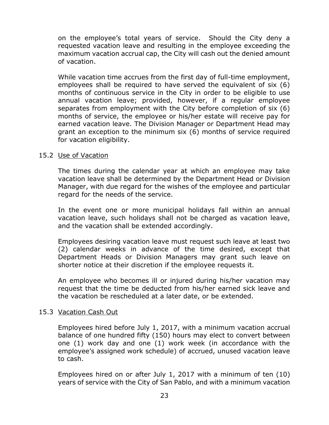on the employee's total years of service. Should the City deny a requested vacation leave and resulting in the employee exceeding the maximum vacation accrual cap, the City will cash out the denied amount of vacation.

While vacation time accrues from the first day of full-time employment, employees shall be required to have served the equivalent of six (6) months of continuous service in the City in order to be eligible to use annual vacation leave; provided, however, if a regular employee separates from employment with the City before completion of six (6) months of service, the employee or his/her estate will receive pay for earned vacation leave. The Division Manager or Department Head may grant an exception to the minimum six (6) months of service required for vacation eligibility.

#### 15.2 Use of Vacation

The times during the calendar year at which an employee may take vacation leave shall be determined by the Department Head or Division Manager, with due regard for the wishes of the employee and particular regard for the needs of the service.

In the event one or more municipal holidays fall within an annual vacation leave, such holidays shall not be charged as vacation leave, and the vacation shall be extended accordingly.

Employees desiring vacation leave must request such leave at least two (2) calendar weeks in advance of the time desired, except that Department Heads or Division Managers may grant such leave on shorter notice at their discretion if the employee requests it.

An employee who becomes ill or injured during his/her vacation may request that the time be deducted from his/her earned sick leave and the vacation be rescheduled at a later date, or be extended.

## 15.3 Vacation Cash Out

Employees hired before July 1, 2017, with a minimum vacation accrual balance of one hundred fifty (150) hours may elect to convert between one (1) work day and one (1) work week (in accordance with the employee's assigned work schedule) of accrued, unused vacation leave to cash.

Employees hired on or after July 1, 2017 with a minimum of ten (10) years of service with the City of San Pablo, and with a minimum vacation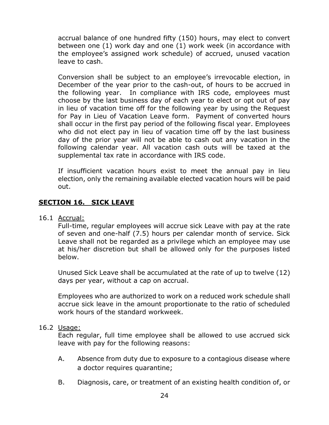accrual balance of one hundred fifty (150) hours, may elect to convert between one (1) work day and one (1) work week (in accordance with the employee's assigned work schedule) of accrued, unused vacation leave to cash.

Conversion shall be subject to an employee's irrevocable election, in December of the year prior to the cash-out, of hours to be accrued in the following year. In compliance with IRS code, employees must choose by the last business day of each year to elect or opt out of pay in lieu of vacation time off for the following year by using the Request for Pay in Lieu of Vacation Leave form. Payment of converted hours shall occur in the first pay period of the following fiscal year. Employees who did not elect pay in lieu of vacation time off by the last business day of the prior year will not be able to cash out any vacation in the following calendar year. All vacation cash outs will be taxed at the supplemental tax rate in accordance with IRS code.

If insufficient vacation hours exist to meet the annual pay in lieu election, only the remaining available elected vacation hours will be paid out.

# <span id="page-23-0"></span>**SECTION 16. SICK LEAVE**

16.1 Accrual:

Full-time, regular employees will accrue sick Leave with pay at the rate of seven and one-half (7.5) hours per calendar month of service. Sick Leave shall not be regarded as a privilege which an employee may use at his/her discretion but shall be allowed only for the purposes listed below.

Unused Sick Leave shall be accumulated at the rate of up to twelve (12) days per year, without a cap on accrual.

Employees who are authorized to work on a reduced work schedule shall accrue sick leave in the amount proportionate to the ratio of scheduled work hours of the standard workweek.

## 16.2 Usage:

Each regular, full time employee shall be allowed to use accrued sick leave with pay for the following reasons:

- A. Absence from duty due to exposure to a contagious disease where a doctor requires quarantine;
- B. Diagnosis, care, or treatment of an existing health condition of, or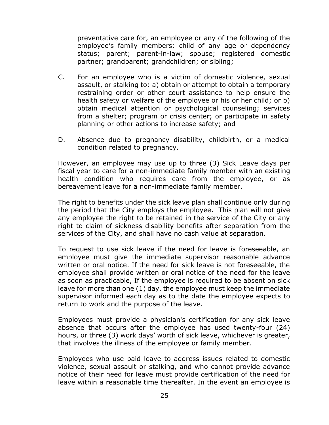preventative care for, an employee or any of the following of the employee's family members: child of any age or dependency status; parent; parent-in-law; spouse; registered domestic partner; grandparent; grandchildren; or sibling;

- C. For an employee who is a victim of domestic violence, sexual assault, or stalking to: a) obtain or attempt to obtain a temporary restraining order or other court assistance to help ensure the health safety or welfare of the employee or his or her child; or b) obtain medical attention or psychological counseling; services from a shelter; program or crisis center; or participate in safety planning or other actions to increase safety; and
- D. Absence due to pregnancy disability, childbirth, or a medical condition related to pregnancy.

However, an employee may use up to three (3) Sick Leave days per fiscal year to care for a non-immediate family member with an existing health condition who requires care from the employee, or as bereavement leave for a non-immediate family member.

The right to benefits under the sick leave plan shall continue only during the period that the City employs the employee. This plan will not give any employee the right to be retained in the service of the City or any right to claim of sickness disability benefits after separation from the services of the City, and shall have no cash value at separation.

To request to use sick leave if the need for leave is foreseeable, an employee must give the immediate supervisor reasonable advance written or oral notice. If the need for sick leave is not foreseeable, the employee shall provide written or oral notice of the need for the leave as soon as practicable, If the employee is required to be absent on sick leave for more than one (1) day, the employee must keep the immediate supervisor informed each day as to the date the employee expects to return to work and the purpose of the leave.

Employees must provide a physician's certification for any sick leave absence that occurs after the employee has used twenty-four (24) hours, or three (3) work days' worth of sick leave, whichever is greater, that involves the illness of the employee or family member.

Employees who use paid leave to address issues related to domestic violence, sexual assault or stalking, and who cannot provide advance notice of their need for leave must provide certification of the need for leave within a reasonable time thereafter. In the event an employee is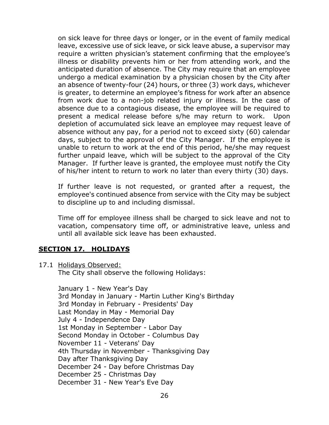on sick leave for three days or longer, or in the event of family medical leave, excessive use of sick leave, or sick leave abuse, a supervisor may require a written physician's statement confirming that the employee's illness or disability prevents him or her from attending work, and the anticipated duration of absence. The City may require that an employee undergo a medical examination by a physician chosen by the City after an absence of twenty-four (24) hours, or three (3) work days, whichever is greater, to determine an employee's fitness for work after an absence from work due to a non-job related injury or illness. In the case of absence due to a contagious disease, the employee will be required to present a medical release before s/he may return to work. Upon depletion of accumulated sick leave an employee may request leave of absence without any pay, for a period not to exceed sixty (60) calendar days, subject to the approval of the City Manager. If the employee is unable to return to work at the end of this period, he/she may request further unpaid leave, which will be subject to the approval of the City Manager. If further leave is granted, the employee must notify the City of his/her intent to return to work no later than every thirty (30) days.

If further leave is not requested, or granted after a request, the employee's continued absence from service with the City may be subject to discipline up to and including dismissal.

Time off for employee illness shall be charged to sick leave and not to vacation, compensatory time off, or administrative leave, unless and until all available sick leave has been exhausted.

# <span id="page-25-0"></span>**SECTION 17. HOLIDAYS**

17.1 Holidays Observed:

The City shall observe the following Holidays:

January 1 - New Year's Day 3rd Monday in January - Martin Luther King's Birthday 3rd Monday in February - Presidents' Day Last Monday in May - Memorial Day July 4 - Independence Day 1st Monday in September - Labor Day Second Monday in October - Columbus Day November 11 - Veterans' Day 4th Thursday in November - Thanksgiving Day Day after Thanksgiving Day December 24 - Day before Christmas Day December 25 - Christmas Day December 31 - New Year's Eve Day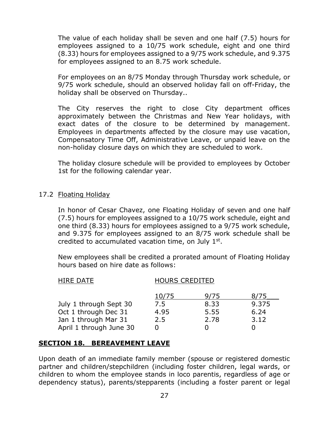The value of each holiday shall be seven and one half (7.5) hours for employees assigned to a 10/75 work schedule, eight and one third (8.33) hours for employees assigned to a 9/75 work schedule, and 9.375 for employees assigned to an 8.75 work schedule.

For employees on an 8/75 Monday through Thursday work schedule, or 9/75 work schedule, should an observed holiday fall on off-Friday, the holiday shall be observed on Thursday..

The City reserves the right to close City department offices approximately between the Christmas and New Year holidays, with exact dates of the closure to be determined by management. Employees in departments affected by the closure may use vacation, Compensatory Time Off, Administrative Leave, or unpaid leave on the non-holiday closure days on which they are scheduled to work.

The holiday closure schedule will be provided to employees by October 1st for the following calendar year.

## 17.2 Floating Holiday

In honor of Cesar Chavez, one Floating Holiday of seven and one half (7.5) hours for employees assigned to a 10/75 work schedule, eight and one third (8.33) hours for employees assigned to a 9/75 work schedule, and 9.375 for employees assigned to an 8/75 work schedule shall be credited to accumulated vacation time, on July  $1<sup>st</sup>$ .

New employees shall be credited a prorated amount of Floating Holiday hours based on hire date as follows:

| <b>HOURS CREDITED</b> |      |       |
|-----------------------|------|-------|
| 10/75                 | 9/75 | 8775  |
| 7.5                   | 8.33 | 9.375 |
| 4.95                  | 5.55 | 6.24  |
| 2.5                   | 2.78 | 3.12  |
|                       |      |       |
|                       |      |       |

# <span id="page-26-0"></span>**SECTION 18. BEREAVEMENT LEAVE**

Upon death of an immediate family member (spouse or registered domestic partner and children/stepchildren (including foster children, legal wards, or children to whom the employee stands in loco parentis, regardless of age or dependency status), parents/stepparents (including a foster parent or legal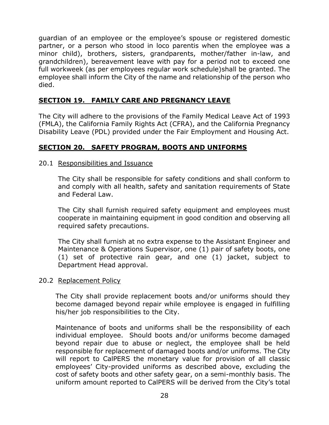guardian of an employee or the employee's spouse or registered domestic partner, or a person who stood in loco parentis when the employee was a minor child), brothers, sisters, grandparents, mother/father in-law, and grandchildren), bereavement leave with pay for a period not to exceed one full workweek (as per employees regular work schedule)shall be granted. The employee shall inform the City of the name and relationship of the person who died.

# <span id="page-27-0"></span>**SECTION 19. FAMILY CARE AND PREGNANCY LEAVE**

The City will adhere to the provisions of the Family Medical Leave Act of 1993 (FMLA), the California Family Rights Act (CFRA), and the California Pregnancy Disability Leave (PDL) provided under the Fair Employment and Housing Act.

# <span id="page-27-1"></span>**SECTION 20. SAFETY PROGRAM, BOOTS AND UNIFORMS**

## 20.1 Responsibilities and Issuance

The City shall be responsible for safety conditions and shall conform to and comply with all health, safety and sanitation requirements of State and Federal Law.

The City shall furnish required safety equipment and employees must cooperate in maintaining equipment in good condition and observing all required safety precautions.

The City shall furnish at no extra expense to the Assistant Engineer and Maintenance & Operations Supervisor, one (1) pair of safety boots, one (1) set of protective rain gear, and one (1) jacket, subject to Department Head approval.

## 20.2 Replacement Policy

The City shall provide replacement boots and/or uniforms should they become damaged beyond repair while employee is engaged in fulfilling his/her job responsibilities to the City.

Maintenance of boots and uniforms shall be the responsibility of each individual employee. Should boots and/or uniforms become damaged beyond repair due to abuse or neglect, the employee shall be held responsible for replacement of damaged boots and/or uniforms. The City will report to CalPERS the monetary value for provision of all classic employees' City-provided uniforms as described above, excluding the cost of safety boots and other safety gear, on a semi-monthly basis. The uniform amount reported to CalPERS will be derived from the City's total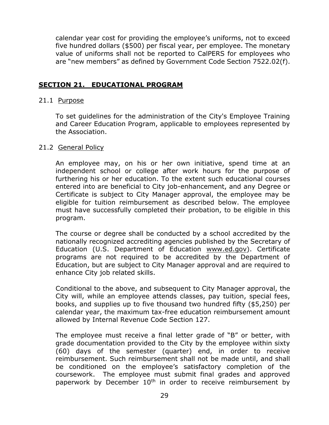calendar year cost for providing the employee's uniforms, not to exceed five hundred dollars (\$500) per fiscal year, per employee. The monetary value of uniforms shall not be reported to CalPERS for employees who are "new members" as defined by Government Code Section 7522.02(f).

# <span id="page-28-0"></span>**SECTION 21. EDUCATIONAL PROGRAM**

## 21.1 Purpose

To set guidelines for the administration of the City's Employee Training and Career Education Program, applicable to employees represented by the Association.

## 21.2 General Policy

An employee may, on his or her own initiative, spend time at an independent school or college after work hours for the purpose of furthering his or her education. To the extent such educational courses entered into are beneficial to City job-enhancement, and any Degree or Certificate is subject to City Manager approval, the employee may be eligible for tuition reimbursement as described below. The employee must have successfully completed their probation, to be eligible in this program.

The course or degree shall be conducted by a school accredited by the nationally recognized accrediting agencies published by the Secretary of Education (U.S. Department of Education [www.ed.gov\)](http://www.ed.gov/). Certificate programs are not required to be accredited by the Department of Education, but are subject to City Manager approval and are required to enhance City job related skills.

Conditional to the above, and subsequent to City Manager approval, the City will, while an employee attends classes, pay tuition, special fees, books, and supplies up to five thousand two hundred fifty (\$5,250) per calendar year, the maximum tax-free education reimbursement amount allowed by Internal Revenue Code Section 127.

The employee must receive a final letter grade of "B" or better, with grade documentation provided to the City by the employee within sixty (60) days of the semester (quarter) end, in order to receive reimbursement. Such reimbursement shall not be made until, and shall be conditioned on the employee's satisfactory completion of the coursework. The employee must submit final grades and approved paperwork by December 10<sup>th</sup> in order to receive reimbursement by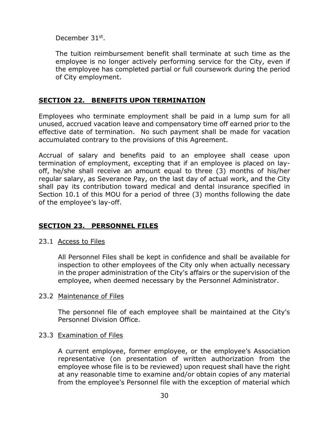December 31<sup>st</sup>.

The tuition reimbursement benefit shall terminate at such time as the employee is no longer actively performing service for the City, even if the employee has completed partial or full coursework during the period of City employment.

# <span id="page-29-0"></span>**SECTION 22. BENEFITS UPON TERMINATION**

Employees who terminate employment shall be paid in a lump sum for all unused, accrued vacation leave and compensatory time off earned prior to the effective date of termination. No such payment shall be made for vacation accumulated contrary to the provisions of this Agreement.

Accrual of salary and benefits paid to an employee shall cease upon termination of employment, excepting that if an employee is placed on layoff, he/she shall receive an amount equal to three (3) months of his/her regular salary, as Severance Pay, on the last day of actual work, and the City shall pay its contribution toward medical and dental insurance specified in Section 10.1 of this MOU for a period of three (3) months following the date of the employee's lay-off.

# <span id="page-29-1"></span>**SECTION 23. PERSONNEL FILES**

## 23.1 Access to Files

All Personnel Files shall be kept in confidence and shall be available for inspection to other employees of the City only when actually necessary in the proper administration of the City's affairs or the supervision of the employee, when deemed necessary by the Personnel Administrator.

## 23.2 Maintenance of Files

The personnel file of each employee shall be maintained at the City's Personnel Division Office.

## 23.3 Examination of Files

A current employee, former employee, or the employee's Association representative (on presentation of written authorization from the employee whose file is to be reviewed) upon request shall have the right at any reasonable time to examine and/or obtain copies of any material from the employee's Personnel file with the exception of material which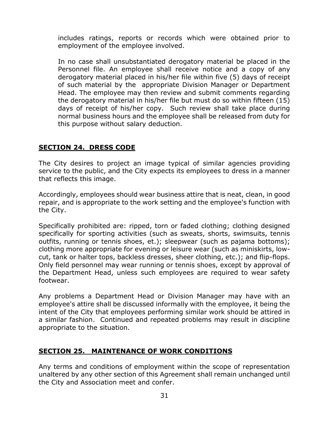includes ratings, reports or records which were obtained prior to employment of the employee involved.

In no case shall unsubstantiated derogatory material be placed in the Personnel file. An employee shall receive notice and a copy of any derogatory material placed in his/her file within five (5) days of receipt of such material by the appropriate Division Manager or Department Head. The employee may then review and submit comments regarding the derogatory material in his/her file but must do so within fifteen (15) days of receipt of his/her copy. Such review shall take place during normal business hours and the employee shall be released from duty for this purpose without salary deduction.

# <span id="page-30-0"></span>**SECTION 24. DRESS CODE**

The City desires to project an image typical of similar agencies providing service to the public, and the City expects its employees to dress in a manner that reflects this image.

Accordingly, employees should wear business attire that is neat, clean, in good repair, and is appropriate to the work setting and the employee's function with the City.

Specifically prohibited are: ripped, torn or faded clothing; clothing designed specifically for sporting activities (such as sweats, shorts, swimsuits, tennis outfits, running or tennis shoes, et.); sleepwear (such as pajama bottoms); clothing more appropriate for evening or leisure wear (such as miniskirts, lowcut, tank or halter tops, backless dresses, sheer clothing, etc.); and flip-flops. Only field personnel may wear running or tennis shoes, except by approval of the Department Head, unless such employees are required to wear safety footwear.

Any problems a Department Head or Division Manager may have with an employee's attire shall be discussed informally with the employee, it being the intent of the City that employees performing similar work should be attired in a similar fashion. Continued and repeated problems may result in discipline appropriate to the situation.

# <span id="page-30-1"></span>**SECTION 25. MAINTENANCE OF WORK CONDITIONS**

Any terms and conditions of employment within the scope of representation unaltered by any other section of this Agreement shall remain unchanged until the City and Association meet and confer.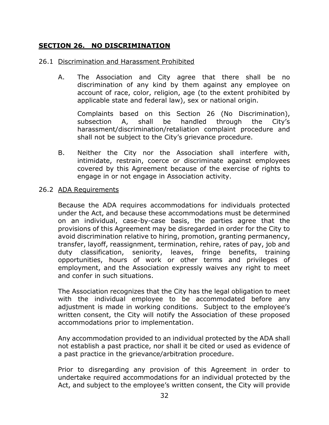# <span id="page-31-0"></span>**SECTION 26. NO DISCRIMINATION**

## 26.1 Discrimination and Harassment Prohibited

A. The Association and City agree that there shall be no discrimination of any kind by them against any employee on account of race, color, religion, age (to the extent prohibited by applicable state and federal law), sex or national origin.

Complaints based on this Section 26 (No Discrimination), subsection A, shall be handled through the City's harassment/discrimination/retaliation complaint procedure and shall not be subject to the City's grievance procedure.

B. Neither the City nor the Association shall interfere with, intimidate, restrain, coerce or discriminate against employees covered by this Agreement because of the exercise of rights to engage in or not engage in Association activity.

## 26.2 ADA Requirements

Because the ADA requires accommodations for individuals protected under the Act, and because these accommodations must be determined on an individual, case-by-case basis, the parties agree that the provisions of this Agreement may be disregarded in order for the City to avoid discrimination relative to hiring, promotion, granting permanency, transfer, layoff, reassignment, termination, rehire, rates of pay, job and duty classification, seniority, leaves, fringe benefits, training opportunities, hours of work or other terms and privileges of employment, and the Association expressly waives any right to meet and confer in such situations.

The Association recognizes that the City has the legal obligation to meet with the individual employee to be accommodated before any adjustment is made in working conditions. Subject to the employee's written consent, the City will notify the Association of these proposed accommodations prior to implementation.

Any accommodation provided to an individual protected by the ADA shall not establish a past practice, nor shall it be cited or used as evidence of a past practice in the grievance/arbitration procedure.

Prior to disregarding any provision of this Agreement in order to undertake required accommodations for an individual protected by the Act, and subject to the employee's written consent, the City will provide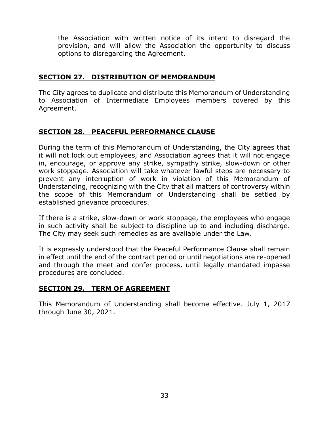the Association with written notice of its intent to disregard the provision, and will allow the Association the opportunity to discuss options to disregarding the Agreement.

## <span id="page-32-0"></span>**SECTION 27. DISTRIBUTION OF MEMORANDUM**

The City agrees to duplicate and distribute this Memorandum of Understanding to Association of Intermediate Employees members covered by this Agreement.

# <span id="page-32-1"></span>**SECTION 28. PEACEFUL PERFORMANCE CLAUSE**

During the term of this Memorandum of Understanding, the City agrees that it will not lock out employees, and Association agrees that it will not engage in, encourage, or approve any strike, sympathy strike, slow-down or other work stoppage. Association will take whatever lawful steps are necessary to prevent any interruption of work in violation of this Memorandum of Understanding, recognizing with the City that all matters of controversy within the scope of this Memorandum of Understanding shall be settled by established grievance procedures.

If there is a strike, slow-down or work stoppage, the employees who engage in such activity shall be subject to discipline up to and including discharge. The City may seek such remedies as are available under the Law.

It is expressly understood that the Peaceful Performance Clause shall remain in effect until the end of the contract period or until negotiations are re-opened and through the meet and confer process, until legally mandated impasse procedures are concluded.

## <span id="page-32-2"></span>**SECTION 29. TERM OF AGREEMENT**

This Memorandum of Understanding shall become effective. July 1, 2017 through June 30, 2021.